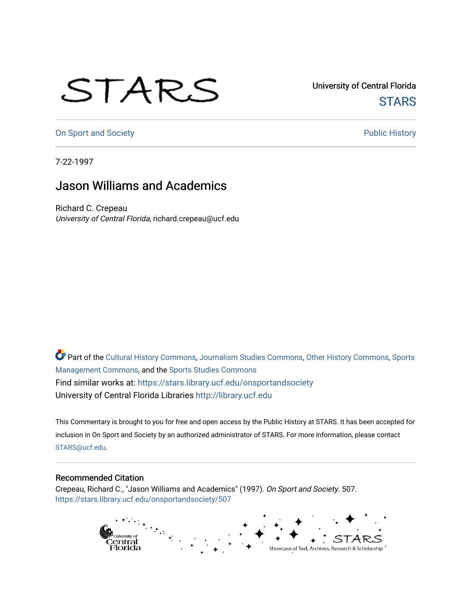## STARS

University of Central Florida **STARS** 

[On Sport and Society](https://stars.library.ucf.edu/onsportandsociety) **Public History** Public History

7-22-1997

## Jason Williams and Academics

Richard C. Crepeau University of Central Florida, richard.crepeau@ucf.edu

Part of the [Cultural History Commons](http://network.bepress.com/hgg/discipline/496?utm_source=stars.library.ucf.edu%2Fonsportandsociety%2F507&utm_medium=PDF&utm_campaign=PDFCoverPages), [Journalism Studies Commons,](http://network.bepress.com/hgg/discipline/333?utm_source=stars.library.ucf.edu%2Fonsportandsociety%2F507&utm_medium=PDF&utm_campaign=PDFCoverPages) [Other History Commons,](http://network.bepress.com/hgg/discipline/508?utm_source=stars.library.ucf.edu%2Fonsportandsociety%2F507&utm_medium=PDF&utm_campaign=PDFCoverPages) [Sports](http://network.bepress.com/hgg/discipline/1193?utm_source=stars.library.ucf.edu%2Fonsportandsociety%2F507&utm_medium=PDF&utm_campaign=PDFCoverPages) [Management Commons](http://network.bepress.com/hgg/discipline/1193?utm_source=stars.library.ucf.edu%2Fonsportandsociety%2F507&utm_medium=PDF&utm_campaign=PDFCoverPages), and the [Sports Studies Commons](http://network.bepress.com/hgg/discipline/1198?utm_source=stars.library.ucf.edu%2Fonsportandsociety%2F507&utm_medium=PDF&utm_campaign=PDFCoverPages) Find similar works at: <https://stars.library.ucf.edu/onsportandsociety> University of Central Florida Libraries [http://library.ucf.edu](http://library.ucf.edu/) 

This Commentary is brought to you for free and open access by the Public History at STARS. It has been accepted for inclusion in On Sport and Society by an authorized administrator of STARS. For more information, please contact [STARS@ucf.edu](mailto:STARS@ucf.edu).

## Recommended Citation

Crepeau, Richard C., "Jason Williams and Academics" (1997). On Sport and Society. 507. [https://stars.library.ucf.edu/onsportandsociety/507](https://stars.library.ucf.edu/onsportandsociety/507?utm_source=stars.library.ucf.edu%2Fonsportandsociety%2F507&utm_medium=PDF&utm_campaign=PDFCoverPages)

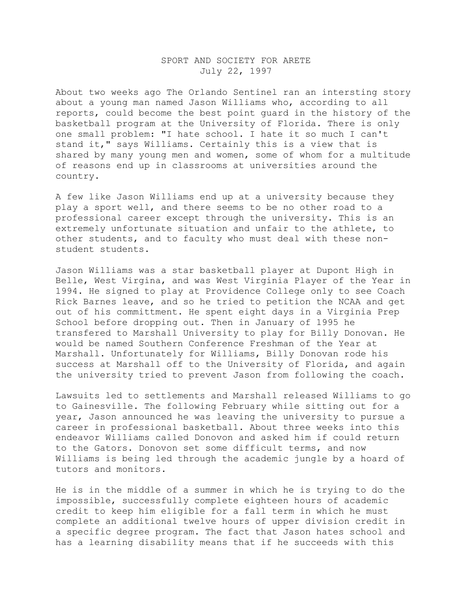## SPORT AND SOCIETY FOR ARETE July 22, 1997

About two weeks ago The Orlando Sentinel ran an intersting story about a young man named Jason Williams who, according to all reports, could become the best point guard in the history of the basketball program at the University of Florida. There is only one small problem: "I hate school. I hate it so much I can't stand it," says Williams. Certainly this is a view that is shared by many young men and women, some of whom for a multitude of reasons end up in classrooms at universities around the country.

A few like Jason Williams end up at a university because they play a sport well, and there seems to be no other road to a professional career except through the university. This is an extremely unfortunate situation and unfair to the athlete, to other students, and to faculty who must deal with these nonstudent students.

Jason Williams was a star basketball player at Dupont High in Belle, West Virgina, and was West Virginia Player of the Year in 1994. He signed to play at Providence College only to see Coach Rick Barnes leave, and so he tried to petition the NCAA and get out of his committment. He spent eight days in a Virginia Prep School before dropping out. Then in January of 1995 he transfered to Marshall University to play for Billy Donovan. He would be named Southern Conference Freshman of the Year at Marshall. Unfortunately for Williams, Billy Donovan rode his success at Marshall off to the University of Florida, and again the university tried to prevent Jason from following the coach.

Lawsuits led to settlements and Marshall released Williams to go to Gainesville. The following February while sitting out for a year, Jason announced he was leaving the university to pursue a career in professional basketball. About three weeks into this endeavor Williams called Donovon and asked him if could return to the Gators. Donovon set some difficult terms, and now Williams is being led through the academic jungle by a hoard of tutors and monitors.

He is in the middle of a summer in which he is trying to do the impossible, successfully complete eighteen hours of academic credit to keep him eligible for a fall term in which he must complete an additional twelve hours of upper division credit in a specific degree program. The fact that Jason hates school and has a learning disability means that if he succeeds with this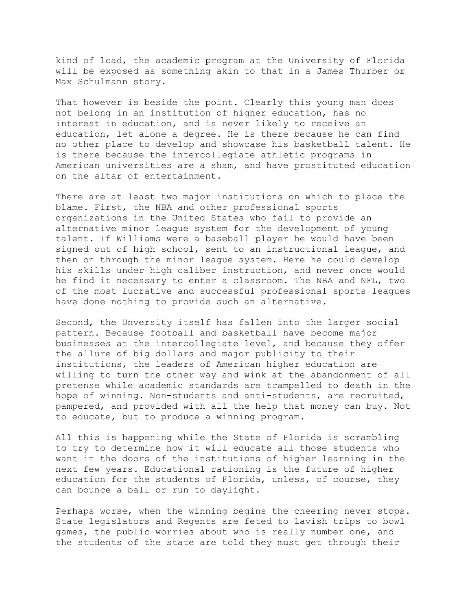kind of load, the academic program at the University of Florida will be exposed as something akin to that in a James Thurber or Max Schulmann story.

That however is beside the point. Clearly this young man does not belong in an institution of higher education, has no interest in education, and is never likely to receive an education, let alone a degree. He is there because he can find no other place to develop and showcase his basketball talent. He is there because the intercollegiate athletic programs in American universities are a sham, and have prostituted education on the altar of entertainment.

There are at least two major institutions on which to place the blame. First, the NBA and other professional sports organizations in the United States who fail to provide an alternative minor league system for the development of young talent. If Williams were a baseball player he would have been signed out of high school, sent to an instructional league, and then on through the minor league system. Here he could develop his skills under high caliber instruction, and never once would he find it necessary to enter a classroom. The NBA and NFL, two of the most lucrative and successful professional sports leagues have done nothing to provide such an alternative.

Second, the Unversity itself has fallen into the larger social pattern. Because football and basketball have become major businesses at the intercollegiate level, and because they offer the allure of big dollars and major publicity to their institutions, the leaders of American higher education are willing to turn the other way and wink at the abandonment of all pretense while academic standards are trampelled to death in the hope of winning. Non-students and anti-students, are recruited, pampered, and provided with all the help that money can buy. Not to educate, but to produce a winning program.

All this is happening while the State of Florida is scrambling to try to determine how it will educate all those students who want in the doors of the institutions of higher learning in the next few years. Educational rationing is the future of higher education for the students of Florida, unless, of course, they can bounce a ball or run to daylight.

Perhaps worse, when the winning begins the cheering never stops. State legislators and Regents are feted to lavish trips to bowl games, the public worries about who is really number one, and the students of the state are told they must get through their